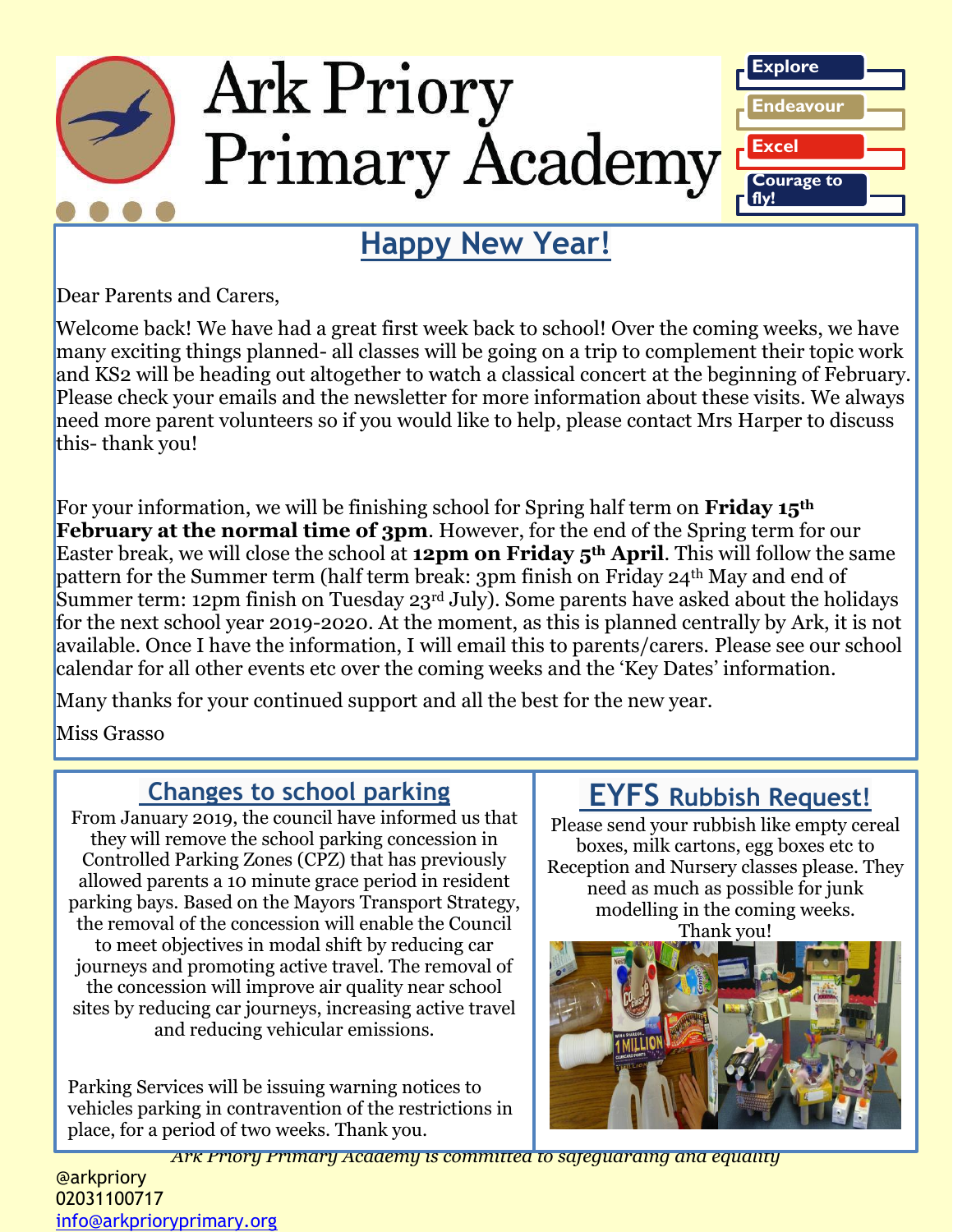

**Happy New Year!**

Dear Parents and Carers,

Welcome back! We have had a great first week back to school! Over the coming weeks, we have many exciting things planned- all classes will be going on a trip to complement their topic work and KS2 will be heading out altogether to watch a classical concert at the beginning of February. Please check your emails and the newsletter for more information about these visits. We always need more parent volunteers so if you would like to help, please contact Mrs Harper to discuss this- thank you!

For your information, we will be finishing school for Spring half term on **Friday 15th February at the normal time of 3pm.** However, for the end of the Spring term for our Easter break, we will close the school at **12pm on Friday 5th April**. This will follow the same pattern for the Summer term (half term break: 3pm finish on Friday 24th May and end of Summer term: 12pm finish on Tuesday 23<sup>rd</sup> July). Some parents have asked about the holidays for the next school year 2019-2020. At the moment, as this is planned centrally by Ark, it is not available. Once I have the information, I will email this to parents/carers. Please see our school calendar for all other events etc over the coming weeks and the 'Key Dates' information.

Many thanks for your continued support and all the best for the new year.

Miss Grasso

### **Changes to school parking**

From January 2019, the council have informed us that they will remove the school parking concession in Controlled Parking Zones (CPZ) that has previously allowed parents a 10 minute grace period in resident parking bays. Based on the Mayors Transport Strategy, the removal of the concession will enable the Council to meet objectives in modal shift by reducing car journeys and promoting active travel. The removal of the concession will improve air quality near school sites by reducing car journeys, increasing active travel and reducing vehicular emissions.

Parking Services will be issuing warning notices to vehicles parking in contravention of the restrictions in place, for a period of two weeks. Thank you.

### **EYFS Rubbish Request!**

Please send your rubbish like empty cereal boxes, milk cartons, egg boxes etc to Reception and Nursery classes please. They need as much as possible for junk modelling in the coming weeks. Thank you!



*Ark Priory Primary Academy is committed to safeguarding and equality* 

#### @arkpriory 02031100717 [info@arkprioryprimary.org](mailto:info@arkprioryprimary.org)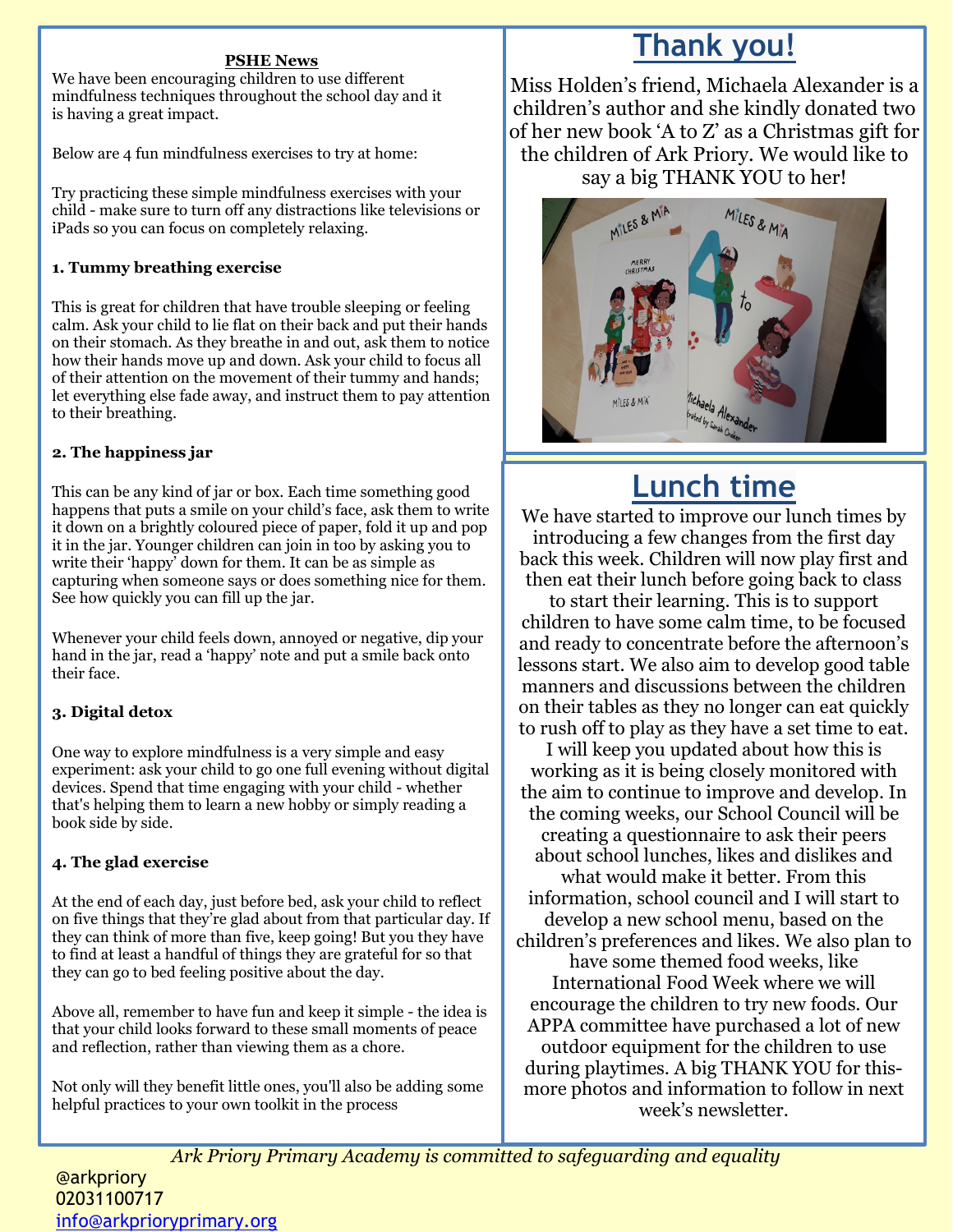#### **PSHE News**

We have been encouraging children to use different mindfulness techniques throughout the school day and it is having a great impact.

Below are 4 fun mindfulness exercises to try at home:

Try practicing these simple mindfulness exercises with your child - make sure to turn off any distractions like televisions or iPads so you can focus on completely relaxing.

#### **1. Tummy breathing exercise**

This is great for children that have trouble sleeping or feeling calm. Ask your child to lie flat on their back and put their hands on their stomach. As they breathe in and out, ask them to notice how their hands move up and down. Ask your child to focus all of their attention on the movement of their tummy and hands; let everything else fade away, and instruct them to pay attention to their breathing.

#### **2. The happiness jar**

This can be any kind of jar or box. Each time something good happens that puts a smile on your child's face, ask them to write it down on a brightly coloured piece of paper, fold it up and pop it in the jar. Younger children can join in too by asking you to write their 'happy' down for them. It can be as simple as capturing when someone says or does something nice for them. See how quickly you can fill up the jar.

Whenever your child feels down, annoyed or negative, dip your hand in the jar, read a 'happy' note and put a smile back onto their face.

#### **3. Digital detox**

One way to explore mindfulness is a very simple and easy experiment: ask your child to go one full evening without digital devices. Spend that time engaging with your child - whether that's helping them to learn a new hobby or simply reading a book side by side.

#### **4. The glad exercise**

At the end of each day, just before bed, ask your child to reflect on five things that they're glad about from that particular day. If they can think of more than five, keep going! But you they have to find at least a handful of things they are grateful for so that they can go to bed feeling positive about the day.

Above all, remember to have fun and keep it simple - the idea is that your child looks forward to these small moments of peace and reflection, rather than viewing them as a chore.

Not only will they benefit little ones, you'll also be adding some helpful practices to your own toolkit in the process

### **Thank you!**

Miss Holden's friend, Michaela Alexander is a children's author and she kindly donated two of her new book 'A to Z' as a Christmas gift for the children of Ark Priory. We would like to say a big THANK YOU to her!



# **Lunch time**

We have started to improve our lunch times by introducing a few changes from the first day back this week. Children will now play first and then eat their lunch before going back to class

to start their learning. This is to support children to have some calm time, to be focused and ready to concentrate before the afternoon's lessons start. We also aim to develop good table manners and discussions between the children on their tables as they no longer can eat quickly to rush off to play as they have a set time to eat.

I will keep you updated about how this is working as it is being closely monitored with the aim to continue to improve and develop. In the coming weeks, our School Council will be creating a questionnaire to ask their peers about school lunches, likes and dislikes and what would make it better. From this information, school council and I will start to develop a new school menu, based on the children's preferences and likes. We also plan to have some themed food weeks, like International Food Week where we will encourage the children to try new foods. Our APPA committee have purchased a lot of new

outdoor equipment for the children to use during playtimes. A big THANK YOU for thismore photos and information to follow in next week's newsletter.

*Ark Priory Primary Academy is committed to safeguarding and equality*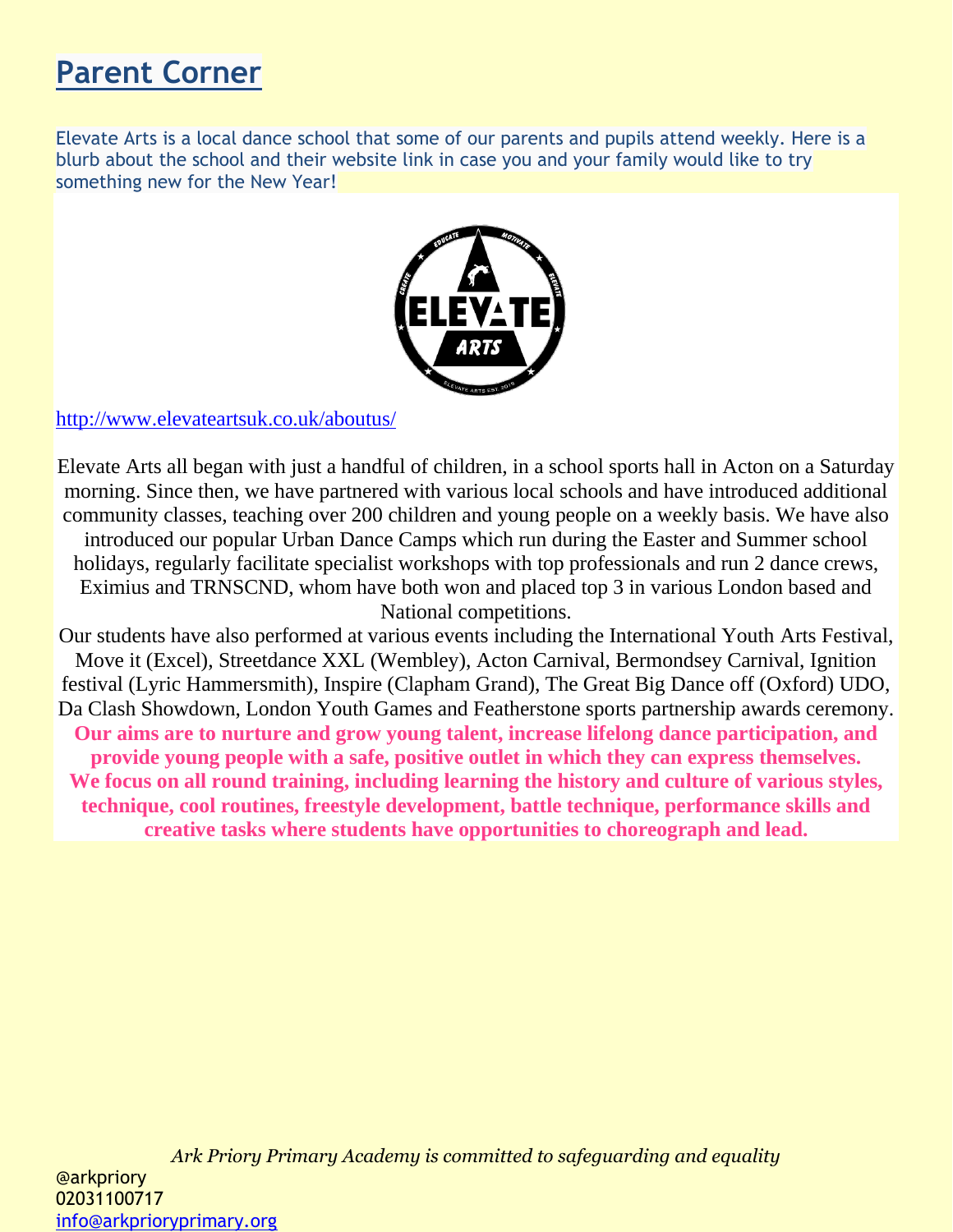# **Parent Corner**

Elevate Arts is a local dance school that some of our parents and pupils attend weekly. Here is a blurb about the school and their website link in case you and your family would like to try something new for the New Year!



<http://www.elevateartsuk.co.uk/aboutus/>

Elevate Arts all began with just a handful of children, in a school sports hall in Acton on a Saturday morning. Since then, we have partnered with various local schools and have introduced additional community classes, teaching over 200 children and young people on a weekly basis. We have also introduced our popular Urban Dance Camps which run during the Easter and Summer school holidays, regularly facilitate specialist workshops with top professionals and run 2 dance crews, Eximius and TRNSCND, whom have both won and placed top 3 in various London based and National competitions.

Our students have also performed at various events including the International Youth Arts Festival, Move it (Excel), Streetdance XXL (Wembley), Acton Carnival, Bermondsey Carnival, Ignition festival (Lyric Hammersmith), Inspire (Clapham Grand), The Great Big Dance off (Oxford) UDO, Da Clash Showdown, London Youth Games and Featherstone sports partnership awards ceremony. **Our aims are to nurture and grow young talent, increase lifelong dance participation, and provide young people with a safe, positive outlet in which they can express themselves. We focus on all round training, including learning the history and culture of various styles, technique, cool routines, freestyle development, battle technique, performance skills and creative tasks where students have opportunities to choreograph and lead.**

*Ark Priory Primary Academy is committed to safeguarding and equality*  @arkpriory 02031100717 [info@arkprioryprimary.org](mailto:info@arkprioryprimary.org)